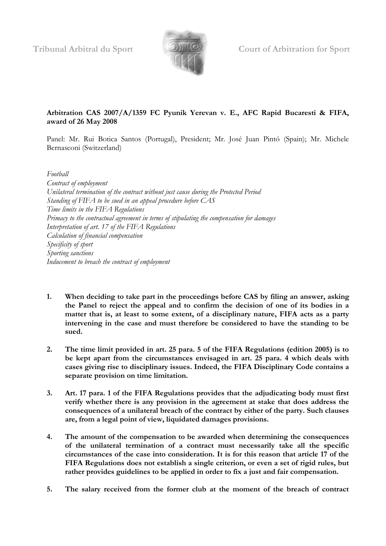

# **Arbitration CAS 2007/A/1359 FC Pyunik Yerevan v. E., AFC Rapid Bucaresti & FIFA, award of 26 May 2008**

Panel: Mr. Rui Botica Santos (Portugal), President; Mr. José Juan Pintó (Spain); Mr. Michele Bernasconi (Switzerland)

*Football*

*Contract of employment Unilateral termination of the contract without just cause during the Protected Period Standing of FIFA to be sued in an appeal procedure before CAS Time limits in the FIFA Regulations Primacy to the contractual agreement in terms of stipulating the compensation for damages Interpretation of art. 17 of the FIFA Regulations Calculation of financial compensation Specificity of sport Sporting sanctions Inducement to breach the contract of employment*

- **1. When deciding to take part in the proceedings before CAS by filing an answer, asking the Panel to reject the appeal and to confirm the decision of one of its bodies in a matter that is, at least to some extent, of a disciplinary nature, FIFA acts as a party intervening in the case and must therefore be considered to have the standing to be sued.**
- **2. The time limit provided in art. 25 para. 5 of the FIFA Regulations (edition 2005) is to be kept apart from the circumstances envisaged in art. 25 para. 4 which deals with cases giving rise to disciplinary issues. Indeed, the FIFA Disciplinary Code contains a separate provision on time limitation.**
- **3. Art. 17 para. 1 of the FIFA Regulations provides that the adjudicating body must first verify whether there is any provision in the agreement at stake that does address the consequences of a unilateral breach of the contract by either of the party. Such clauses are, from a legal point of view, liquidated damages provisions.**
- **4. The amount of the compensation to be awarded when determining the consequences of the unilateral termination of a contract must necessarily take all the specific circumstances of the case into consideration. It is for this reason that article 17 of the FIFA Regulations does not establish a single criterion, or even a set of rigid rules, but rather provides guidelines to be applied in order to fix a just and fair compensation.**
- **5. The salary received from the former club at the moment of the breach of contract**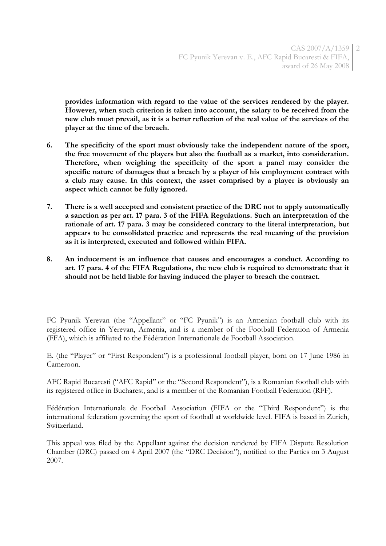**provides information with regard to the value of the services rendered by the player. However, when such criterion is taken into account, the salary to be received from the new club must prevail, as it is a better reflection of the real value of the services of the player at the time of the breach.**

- **6. The specificity of the sport must obviously take the independent nature of the sport, the free movement of the players but also the football as a market, into consideration. Therefore, when weighing the specificity of the sport a panel may consider the specific nature of damages that a breach by a player of his employment contract with a club may cause. In this context, the asset comprised by a player is obviously an aspect which cannot be fully ignored.**
- **7. There is a well accepted and consistent practice of the DRC not to apply automatically a sanction as per art. 17 para. 3 of the FIFA Regulations. Such an interpretation of the rationale of art. 17 para. 3 may be considered contrary to the literal interpretation, but appears to be consolidated practice and represents the real meaning of the provision as it is interpreted, executed and followed within FIFA.**
- **8. An inducement is an influence that causes and encourages a conduct. According to art. 17 para. 4 of the FIFA Regulations, the new club is required to demonstrate that it should not be held liable for having induced the player to breach the contract.**

FC Pyunik Yerevan (the "Appellant" or "FC Pyunik") is an Armenian football club with its registered office in Yerevan, Armenia, and is a member of the Football Federation of Armenia (FFA), which is affiliated to the Fédération Internationale de Football Association.

E. (the "Player" or "First Respondent") is a professional football player, born on 17 June 1986 in Cameroon.

AFC Rapid Bucaresti ("AFC Rapid" or the "Second Respondent"), is a Romanian football club with its registered office in Bucharest, and is a member of the Romanian Football Federation (RFF).

Fédération Internationale de Football Association (FIFA or the "Third Respondent") is the international federation governing the sport of football at worldwide level. FIFA is based in Zurich, Switzerland.

This appeal was filed by the Appellant against the decision rendered by FIFA Dispute Resolution Chamber (DRC) passed on 4 April 2007 (the "DRC Decision"), notified to the Parties on 3 August 2007.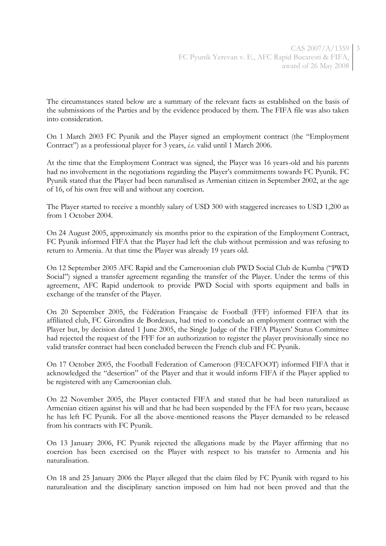3

The circumstances stated below are a summary of the relevant facts as established on the basis of the submissions of the Parties and by the evidence produced by them. The FIFA file was also taken into consideration.

On 1 March 2003 FC Pyunik and the Player signed an employment contract (the "Employment Contract") as a professional player for 3 years, *i.e.* valid until 1 March 2006.

At the time that the Employment Contract was signed, the Player was 16 years-old and his parents had no involvement in the negotiations regarding the Player's commitments towards FC Pyunik. FC Pyunik stated that the Player had been naturalised as Armenian citizen in September 2002, at the age of 16, of his own free will and without any coercion.

The Player started to receive a monthly salary of USD 300 with staggered increases to USD 1,200 as from 1 October 2004.

On 24 August 2005, approximately six months prior to the expiration of the Employment Contract, FC Pyunik informed FIFA that the Player had left the club without permission and was refusing to return to Armenia. At that time the Player was already 19 years old.

On 12 September 2005 AFC Rapid and the Cameroonian club PWD Social Club de Kumba ("PWD Social") signed a transfer agreement regarding the transfer of the Player. Under the terms of this agreement, AFC Rapid undertook to provide PWD Social with sports equipment and balls in exchange of the transfer of the Player.

On 20 September 2005, the Fédération Française de Football (FFF) informed FIFA that its affiliated club, FC Girondins de Bordeaux, had tried to conclude an employment contract with the Player but, by decision dated 1 June 2005, the Single Judge of the FIFA Players' Status Committee had rejected the request of the FFF for an authorization to register the player provisionally since no valid transfer contract had been concluded between the French club and FC Pyunik.

On 17 October 2005, the Football Federation of Cameroon (FECAFOOT) informed FIFA that it acknowledged the "desertion" of the Player and that it would inform FIFA if the Player applied to be registered with any Cameroonian club.

On 22 November 2005, the Player contacted FIFA and stated that he had been naturalized as Armenian citizen against his will and that he had been suspended by the FFA for two years, because he has left FC Pyunik. For all the above-mentioned reasons the Player demanded to be released from his contracts with FC Pyunik.

On 13 January 2006, FC Pyunik rejected the allegations made by the Player affirming that no coercion has been exercised on the Player with respect to his transfer to Armenia and his naturalisation.

On 18 and 25 January 2006 the Player alleged that the claim filed by FC Pyunik with regard to his naturalisation and the disciplinary sanction imposed on him had not been proved and that the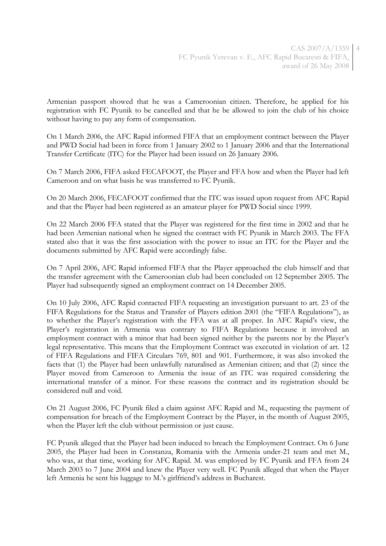4

Armenian passport showed that he was a Cameroonian citizen. Therefore, he applied for his registration with FC Pyunik to be cancelled and that he be allowed to join the club of his choice without having to pay any form of compensation.

On 1 March 2006, the AFC Rapid informed FIFA that an employment contract between the Player and PWD Social had been in force from 1 January 2002 to 1 January 2006 and that the International Transfer Certificate (ITC) for the Player had been issued on 26 January 2006.

On 7 March 2006, FIFA asked FECAFOOT, the Player and FFA how and when the Player had left Cameroon and on what basis he was transferred to FC Pyunik.

On 20 March 2006, FECAFOOT confirmed that the ITC was issued upon request from AFC Rapid and that the Player had been registered as an amateur player for PWD Social since 1999.

On 22 March 2006 FFA stated that the Player was registered for the first time in 2002 and that he had been Armenian national when he signed the contract with FC Pyunik in March 2003. The FFA stated also that it was the first association with the power to issue an ITC for the Player and the documents submitted by AFC Rapid were accordingly false.

On 7 April 2006, AFC Rapid informed FIFA that the Player approached the club himself and that the transfer agreement with the Cameroonian club had been concluded on 12 September 2005. The Player had subsequently signed an employment contract on 14 December 2005.

On 10 July 2006, AFC Rapid contacted FIFA requesting an investigation pursuant to art. 23 of the FIFA Regulations for the Status and Transfer of Players edition 2001 (the "FIFA Regulations"), as to whether the Player's registration with the FFA was at all proper. In AFC Rapid's view, the Player's registration in Armenia was contrary to FIFA Regulations because it involved an employment contract with a minor that had been signed neither by the parents nor by the Player's legal representative. This means that the Employment Contract was executed in violation of art. 12 of FIFA Regulations and FIFA Circulars 769, 801 and 901. Furthermore, it was also invoked the facts that (1) the Player had been unlawfully naturalised as Armenian citizen; and that (2) since the Player moved from Cameroon to Armenia the issue of an ITC was required considering the international transfer of a minor. For these reasons the contract and its registration should be considered null and void.

On 21 August 2006, FC Pyunik filed a claim against AFC Rapid and M., requesting the payment of compensation for breach of the Employment Contract by the Player, in the month of August 2005, when the Player left the club without permission or just cause.

FC Pyunik alleged that the Player had been induced to breach the Employment Contract. On 6 June 2005, the Player had been in Constanza, Romania with the Armenia under-21 team and met M., who was, at that time, working for AFC Rapid. M. was employed by FC Pyunik and FFA from 24 March 2003 to 7 June 2004 and knew the Player very well. FC Pyunik alleged that when the Player left Armenia he sent his luggage to M.'s girlfriend's address in Bucharest.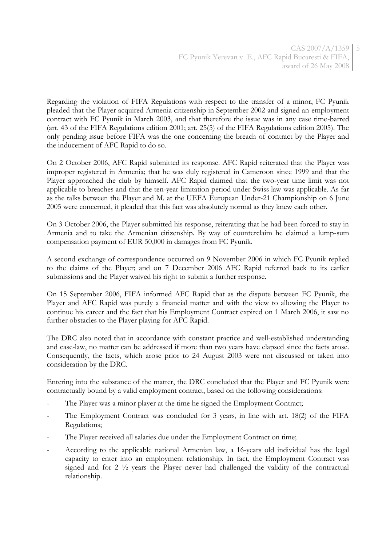Regarding the violation of FIFA Regulations with respect to the transfer of a minor, FC Pyunik pleaded that the Player acquired Armenia citizenship in September 2002 and signed an employment contract with FC Pyunik in March 2003, and that therefore the issue was in any case time-barred (art. 43 of the FIFA Regulations edition 2001; art. 25(5) of the FIFA Regulations edition 2005). The only pending issue before FIFA was the one concerning the breach of contract by the Player and the inducement of AFC Rapid to do so.

On 2 October 2006, AFC Rapid submitted its response. AFC Rapid reiterated that the Player was improper registered in Armenia; that he was duly registered in Cameroon since 1999 and that the Player approached the club by himself. AFC Rapid claimed that the two-year time limit was not applicable to breaches and that the ten-year limitation period under Swiss law was applicable. As far as the talks between the Player and M. at the UEFA European Under-21 Championship on 6 June 2005 were concerned, it pleaded that this fact was absolutely normal as they knew each other.

On 3 October 2006, the Player submitted his response, reiterating that he had been forced to stay in Armenia and to take the Armenian citizenship. By way of counterclaim he claimed a lump-sum compensation payment of EUR 50,000 in damages from FC Pyunik.

A second exchange of correspondence occurred on 9 November 2006 in which FC Pyunik replied to the claims of the Player; and on 7 December 2006 AFC Rapid referred back to its earlier submissions and the Player waived his right to submit a further response.

On 15 September 2006, FIFA informed AFC Rapid that as the dispute between FC Pyunik, the Player and AFC Rapid was purely a financial matter and with the view to allowing the Player to continue his career and the fact that his Employment Contract expired on 1 March 2006, it saw no further obstacles to the Player playing for AFC Rapid.

The DRC also noted that in accordance with constant practice and well-established understanding and case-law, no matter can be addressed if more than two years have elapsed since the facts arose. Consequently, the facts, which arose prior to 24 August 2003 were not discussed or taken into consideration by the DRC.

Entering into the substance of the matter, the DRC concluded that the Player and FC Pyunik were contractually bound by a valid employment contract, based on the following considerations:

- The Player was a minor player at the time he signed the Employment Contract;
- The Employment Contract was concluded for 3 years, in line with art. 18(2) of the FIFA Regulations;
- The Player received all salaries due under the Employment Contract on time;
- According to the applicable national Armenian law, a 16-years old individual has the legal capacity to enter into an employment relationship. In fact, the Employment Contract was signed and for 2 ½ years the Player never had challenged the validity of the contractual relationship.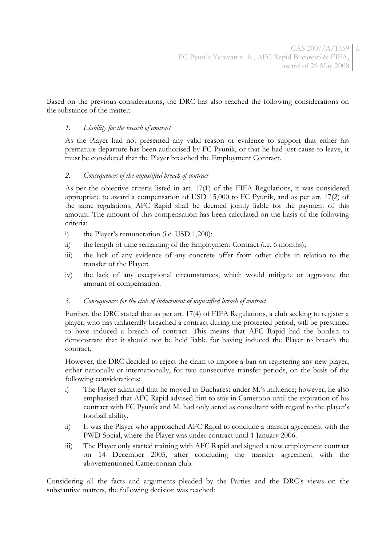Based on the previous considerations, the DRC has also reached the following considerations on the substance of the matter:

## *1. Liability for the breach of contract*

As the Player had not presented any valid reason or evidence to support that either his premature departure has been authorised by FC Pyunik, or that he had just cause to leave, it must be considered that the Player breached the Employment Contract.

## *2. Consequences of the unjustified breach of contract*

As per the objective criteria listed in art. 17(1) of the FIFA Regulations, it was considered appropriate to award a compensation of USD 15,000 to FC Pyunik, and as per art. 17(2) of the same regulations, AFC Rapid shall be deemed jointly liable for the payment of this amount. The amount of this compensation has been calculated on the basis of the following criteria:

- i) the Player's remuneration (i.e. USD 1,200);
- ii) the length of time remaining of the Employment Contract (i.e. 6 months);
- iii) the lack of any evidence of any concrete offer from other clubs in relation to the transfer of the Player;
- iv) the lack of any exceptional circumstances, which would mitigate or aggravate the amount of compensation.

## *3. Consequences for the club of inducement of unjustified breach of contract*

Further, the DRC stated that as per art. 17(4) of FIFA Regulations, a club seeking to register a player, who has unilaterally breached a contract during the protected period, will be presumed to have induced a breach of contract. This means that AFC Rapid had the burden to demonstrate that it should not be held liable for having induced the Player to breach the contract.

However, the DRC decided to reject the claim to impose a ban on registering any new player, either nationally or internationally, for two consecutive transfer periods, on the basis of the following considerations:

- i) The Player admitted that he moved to Bucharest under M.'s influence; however, he also emphasised that AFC Rapid advised him to stay in Cameroon until the expiration of his contract with FC Pyunik and M. had only acted as consultant with regard to the player's football ability.
- ii) It was the Player who approached AFC Rapid to conclude a transfer agreement with the PWD Social, where the Player was under contract until 1 January 2006.
- iii) The Player only started training with AFC Rapid and signed a new employment contract on 14 December 2005, after concluding the transfer agreement with the abovementioned Cameroonian club.

Considering all the facts and arguments pleaded by the Parties and the DRC's views on the substantive matters, the following decision was reached: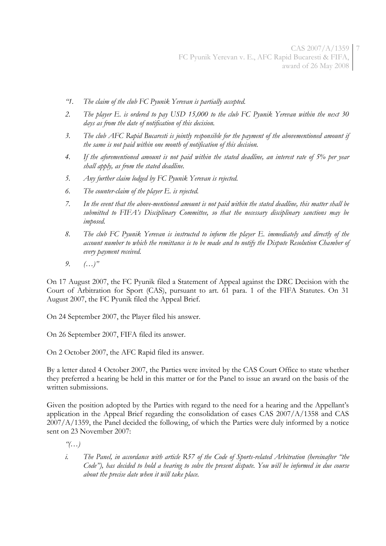7

- *"1. The claim of the club FC Pyunik Yerevan is partially accepted.*
- *2. The player E. is ordered to pay USD 15,000 to the club FC Pyunik Yerevan within the next 30 days as from the date of notification of this decision.*
- *3. The club AFC Rapid Bucaresti is jointly responsible for the payment of the abovementioned amount if the same is not paid within one month of notification of this decision.*
- *4. If the aforementioned amount is not paid within the stated deadline, an interest rate of 5% per year shall apply, as from the stated deadline.*
- *5. Any further claim lodged by FC Pyunik Yerevan is rejected.*
- *6. The counter-claim of the player E. is rejected.*
- *7. In the event that the above-mentioned amount is not paid within the stated deadline, this matter shall be submitted to FIFA's Disciplinary Committee, so that the necessary disciplinary sanctions may be imposed.*
- *8. The club FC Pyunik Yerevan is instructed to inform the player E. immediately and directly of the account number to which the remittance is to be made and to notify the Dispute Resolution Chamber of every payment received.*
- *9. (…)"*

On 17 August 2007, the FC Pyunik filed a Statement of Appeal against the DRC Decision with the Court of Arbitration for Sport (CAS), pursuant to art. 61 para. 1 of the FIFA Statutes. On 31 August 2007, the FC Pyunik filed the Appeal Brief.

On 24 September 2007, the Player filed his answer.

On 26 September 2007, FIFA filed its answer.

On 2 October 2007, the AFC Rapid filed its answer.

By a letter dated 4 October 2007, the Parties were invited by the CAS Court Office to state whether they preferred a hearing be held in this matter or for the Panel to issue an award on the basis of the written submissions.

Given the position adopted by the Parties with regard to the need for a hearing and the Appellant's application in the Appeal Brief regarding the consolidation of cases CAS 2007/A/1358 and CAS 2007/A/1359, the Panel decided the following, of which the Parties were duly informed by a notice sent on 23 November 2007:

*"(…)*

*i. The Panel, in accordance with article R57 of the Code of Sports-related Arbitration (hereinafter "the Code"), has decided to hold a hearing to solve the present dispute. You will be informed in due course about the precise date when it will take place.*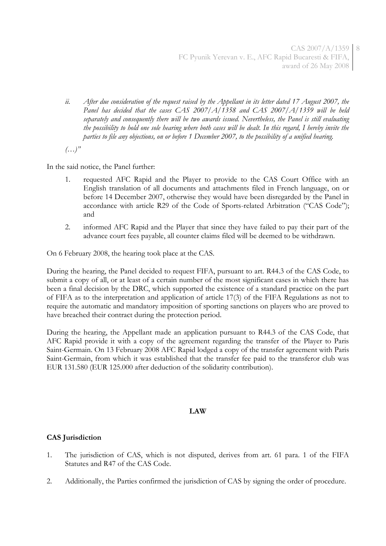CAS 2007/A/1359 8 FC Pyunik Yerevan v. E., AFC Rapid Bucaresti & FIFA, award of 26 May 2008

*ii. After due consideration of the request raised by the Appellant in its letter dated 17 August 2007, the Panel has decided that the cases CAS 2007/A/1358 and CAS 2007/A/1359 will be held separately and consequently there will be two awards issued. Nevertheless, the Panel is still evaluating the possibility to hold one sole hearing where both cases will be dealt. In this regard, I hereby invite the parties to file any objections, on or before 1 December 2007, to the possibility of a unified hearing.*

*(…)"*

In the said notice, the Panel further:

- 1. requested AFC Rapid and the Player to provide to the CAS Court Office with an English translation of all documents and attachments filed in French language, on or before 14 December 2007, otherwise they would have been disregarded by the Panel in accordance with article R29 of the Code of Sports-related Arbitration ("CAS Code"); and
- 2. informed AFC Rapid and the Player that since they have failed to pay their part of the advance court fees payable, all counter claims filed will be deemed to be withdrawn.

On 6 February 2008, the hearing took place at the CAS.

During the hearing, the Panel decided to request FIFA, pursuant to art. R44.3 of the CAS Code, to submit a copy of all, or at least of a certain number of the most significant cases in which there has been a final decision by the DRC, which supported the existence of a standard practice on the part of FIFA as to the interpretation and application of article 17(3) of the FIFA Regulations as not to require the automatic and mandatory imposition of sporting sanctions on players who are proved to have breached their contract during the protection period.

During the hearing, the Appellant made an application pursuant to R44.3 of the CAS Code, that AFC Rapid provide it with a copy of the agreement regarding the transfer of the Player to Paris Saint-Germain. On 13 February 2008 AFC Rapid lodged a copy of the transfer agreement with Paris Saint-Germain, from which it was established that the transfer fee paid to the transferor club was EUR 131.580 (EUR 125.000 after deduction of the solidarity contribution).

## **LAW**

## **CAS Jurisdiction**

- 1. The jurisdiction of CAS, which is not disputed, derives from art. 61 para. 1 of the FIFA Statutes and R47 of the CAS Code.
- 2. Additionally, the Parties confirmed the jurisdiction of CAS by signing the order of procedure.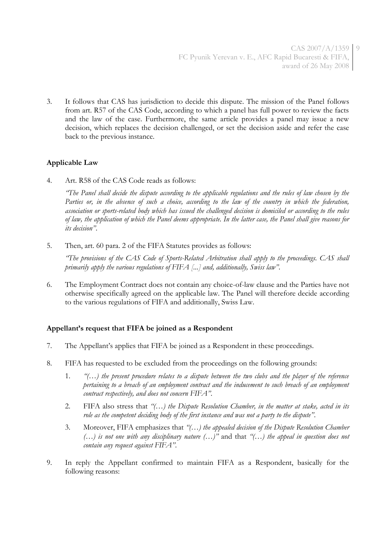3. It follows that CAS has jurisdiction to decide this dispute. The mission of the Panel follows from art. R57 of the CAS Code, according to which a panel has full power to review the facts and the law of the case. Furthermore, the same article provides a panel may issue a new decision, which replaces the decision challenged, or set the decision aside and refer the case back to the previous instance.

## **Applicable Law**

4. Art. R58 of the CAS Code reads as follows:

*"The Panel shall decide the dispute according to the applicable regulations and the rules of law chosen by the*  Parties or, in the absence of such a choice, according to the law of the country in which the federation, *association or sports-related body which has issued the challenged decision is domiciled or according to the rules of law, the application of which the Panel deems appropriate. In the latter case, the Panel shall give reasons for its decision"*.

5. Then, art. 60 para. 2 of the FIFA Statutes provides as follows:

*"The provisions of the CAS Code of Sports-Related Arbitration shall apply to the proceedings. CAS shall primarily apply the various regulations of FIFA [...] and, additionally, Swiss law"*.

6. The Employment Contract does not contain any choice-of-law clause and the Parties have not otherwise specifically agreed on the applicable law. The Panel will therefore decide according to the various regulations of FIFA and additionally, Swiss Law.

## **Appellant's request that FIFA be joined as a Respondent**

- 7. The Appellant's applies that FIFA be joined as a Respondent in these proceedings.
- 8. FIFA has requested to be excluded from the proceedings on the following grounds:
	- 1. *"(…) the present procedure relates to a dispute between the two clubs and the player of the reference pertaining to a breach of an employment contract and the inducement to such breach of an employment contract respectively, and does not concern FIFA"*.
	- 2. FIFA also stress that *"(…) the Dispute Resolution Chamber, in the matter at stake, acted in its role as the competent deciding body of the first instance and was not a party to the dispute"*.
	- 3. Moreover, FIFA emphasizes that *"(…) the appealed decision of the Dispute Resolution Chamber (…) is not one with any disciplinary nature (…)"* and that *"(…) the appeal in question does not contain any request against FIFA"*.
- 9. In reply the Appellant confirmed to maintain FIFA as a Respondent, basically for the following reasons: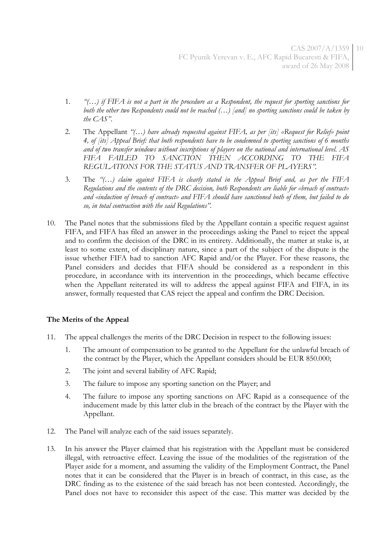- 1. *"(…) if FIFA is not a part in the procedure as a Respondent, the request for sporting sanctions for both the other two Respondents could not be reached (…) [and] no sporting sanctions could be taken by the CAS"*.
- 2. The Appellant *"(…) have already requested against FIFA, as per [its] «Request for Relief» point 4, of [its] Appeal Brief: that both respondents have to be condemned to sporting sanctions of 6 months and of two transfer windows without inscriptions of players on the national and international level. AS FIFA FAILED TO SANCTION THEN ACCORDING TO THE FIFA REGULATIONS FOR THE STATUS AND TRANSFER OF PLAYERS".*
- 3. The *"(…) claim against FIFA is clearly stated in the Appeal Brief and, as per the FIFA Regulations and the contents of the DRC decision, both Respondents are liable for «breach of contract» and «induction of breach of contract» and FIFA should have sanctioned both of them, but failed to do so, in total contraction with the said Regulations".*
- 10. The Panel notes that the submissions filed by the Appellant contain a specific request against FIFA, and FIFA has filed an answer in the proceedings asking the Panel to reject the appeal and to confirm the decision of the DRC in its entirety. Additionally, the matter at stake is, at least to some extent, of disciplinary nature, since a part of the subject of the dispute is the issue whether FIFA had to sanction AFC Rapid and/or the Player. For these reasons, the Panel considers and decides that FIFA should be considered as a respondent in this procedure, in accordance with its intervention in the proceedings, which became effective when the Appellant reiterated its will to address the appeal against FIFA and FIFA, in its answer, formally requested that CAS reject the appeal and confirm the DRC Decision.

# **The Merits of the Appeal**

- 11. The appeal challenges the merits of the DRC Decision in respect to the following issues:
	- 1. The amount of compensation to be granted to the Appellant for the unlawful breach of the contract by the Player, which the Appellant considers should be EUR 850.000;
	- 2. The joint and several liability of AFC Rapid;
	- 3. The failure to impose any sporting sanction on the Player; and
	- 4. The failure to impose any sporting sanctions on AFC Rapid as a consequence of the inducement made by this latter club in the breach of the contract by the Player with the Appellant.
- 12. The Panel will analyze each of the said issues separately.
- 13. In his answer the Player claimed that his registration with the Appellant must be considered illegal, with retroactive effect. Leaving the issue of the modalities of the registration of the Player aside for a moment, and assuming the validity of the Employment Contract, the Panel notes that it can be considered that the Player is in breach of contract, in this case, as the DRC finding as to the existence of the said breach has not been contested. Accordingly, the Panel does not have to reconsider this aspect of the case. This matter was decided by the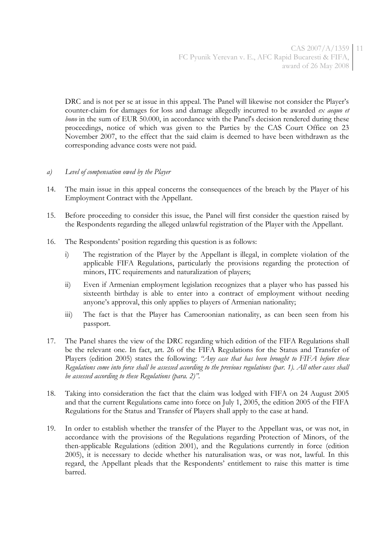DRC and is not per se at issue in this appeal. The Panel will likewise not consider the Player's counter-claim for damages for loss and damage allegedly incurred to be awarded *ex aequo et bono* in the sum of EUR 50.000, in accordance with the Panel's decision rendered during these proceedings, notice of which was given to the Parties by the CAS Court Office on 23 November 2007, to the effect that the said claim is deemed to have been withdrawn as the corresponding advance costs were not paid.

## *a) Level of compensation owed by the Player*

- 14. The main issue in this appeal concerns the consequences of the breach by the Player of his Employment Contract with the Appellant.
- 15. Before proceeding to consider this issue, the Panel will first consider the question raised by the Respondents regarding the alleged unlawful registration of the Player with the Appellant.
- 16. The Respondents' position regarding this question is as follows:
	- i) The registration of the Player by the Appellant is illegal, in complete violation of the applicable FIFA Regulations, particularly the provisions regarding the protection of minors, ITC requirements and naturalization of players;
	- ii) Even if Armenian employment legislation recognizes that a player who has passed his sixteenth birthday is able to enter into a contract of employment without needing anyone's approval, this only applies to players of Armenian nationality;
	- iii) The fact is that the Player has Cameroonian nationality, as can been seen from his passport.
- 17. The Panel shares the view of the DRC regarding which edition of the FIFA Regulations shall be the relevant one. In fact, art. 26 of the FIFA Regulations for the Status and Transfer of Players (edition 2005) states the following: *"Any case that has been brought to FIFA before these Regulations come into force shall be assessed according to the previous regulations (par. 1). All other cases shall be assessed according to these Regulations (para. 2)".*
- 18. Taking into consideration the fact that the claim was lodged with FIFA on 24 August 2005 and that the current Regulations came into force on July 1, 2005, the edition 2005 of the FIFA Regulations for the Status and Transfer of Players shall apply to the case at hand.
- 19. In order to establish whether the transfer of the Player to the Appellant was, or was not, in accordance with the provisions of the Regulations regarding Protection of Minors, of the then-applicable Regulations (edition 2001), and the Regulations currently in force (edition 2005), it is necessary to decide whether his naturalisation was, or was not, lawful. In this regard, the Appellant pleads that the Respondents' entitlement to raise this matter is time barred.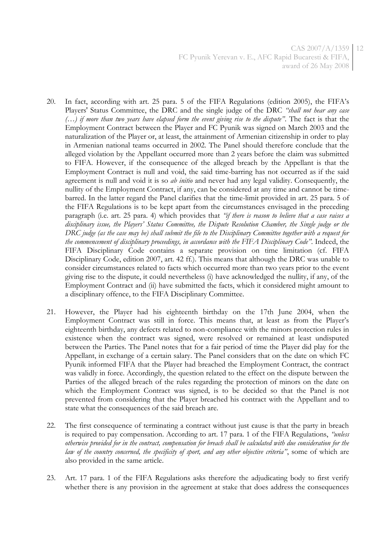CAS 2007/A/1359 12 FC Pyunik Yerevan v. E., AFC Rapid Bucaresti & FIFA, award of 26 May 2008

- 20. In fact, according with art. 25 para. 5 of the FIFA Regulations (edition 2005), the FIFA's Players' Status Committee, the DRC and the single judge of the DRC *"shall not hear any case (…) if more than two years have elapsed form the event giving rise to the dispute"*. The fact is that the Employment Contract between the Player and FC Pyunik was signed on March 2003 and the naturalization of the Player or, at least, the attainment of Armenian citizenship in order to play in Armenian national teams occurred in 2002. The Panel should therefore conclude that the alleged violation by the Appellant occurred more than 2 years before the claim was submitted to FIFA. However, if the consequence of the alleged breach by the Appellant is that the Employment Contract is null and void, the said time-barring has not occurred as if the said agreement is null and void it is so *ab initio* and never had any legal validity. Consequently, the nullity of the Employment Contract, if any, can be considered at any time and cannot be timebarred. In the latter regard the Panel clarifies that the time-limit provided in art. 25 para. 5 of the FIFA Regulations is to be kept apart from the circumstances envisaged in the preceding paragraph (i.e. art. 25 para. 4) which provides that *"if there is reason to believe that a case raises a disciplinary issue, the Players' Status Committee, the Dispute Resolution Chamber, the Single judge or the DRC judge (as the case may be) shall submit the file to the Disciplinary Committee together with a request for the commencement of disciplinary proceedings, in accordance with the FIFA Disciplinary Code"*. Indeed, the FIFA Disciplinary Code contains a separate provision on time limitation (cf. FIFA Disciplinary Code, edition 2007, art. 42 ff.). This means that although the DRC was unable to consider circumstances related to facts which occurred more than two years prior to the event giving rise to the dispute, it could nevertheless (i) have acknowledged the nullity, if any, of the Employment Contract and (ii) have submitted the facts, which it considered might amount to a disciplinary offence, to the FIFA Disciplinary Committee.
- 21. However, the Player had his eighteenth birthday on the 17th June 2004, when the Employment Contract was still in force. This means that, at least as from the Player's eighteenth birthday, any defects related to non-compliance with the minors protection rules in existence when the contract was signed, were resolved or remained at least undisputed between the Parties. The Panel notes that for a fair period of time the Player did play for the Appellant, in exchange of a certain salary. The Panel considers that on the date on which FC Pyunik informed FIFA that the Player had breached the Employment Contract, the contract was validly in force. Accordingly, the question related to the effect on the dispute between the Parties of the alleged breach of the rules regarding the protection of minors on the date on which the Employment Contract was signed, is to be decided so that the Panel is not prevented from considering that the Player breached his contract with the Appellant and to state what the consequences of the said breach are.
- 22. The first consequence of terminating a contract without just cause is that the party in breach is required to pay compensation. According to art. 17 para. 1 of the FIFA Regulations, *"unless otherwise provided for in the contract, compensation for breach shall be calculated with due consideration for the law of the country concerned, the specificity of sport, and any other objective criteria"*, some of which are also provided in the same article.
- 23. Art. 17 para. 1 of the FIFA Regulations asks therefore the adjudicating body to first verify whether there is any provision in the agreement at stake that does address the consequences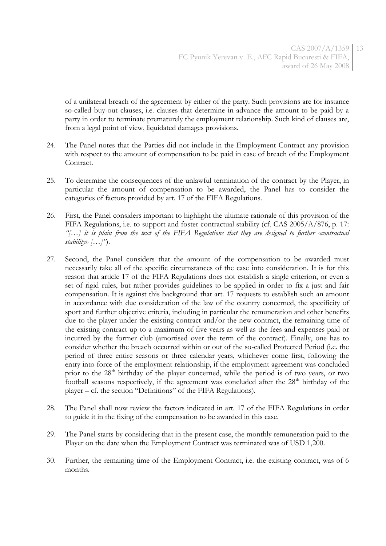of a unilateral breach of the agreement by either of the party. Such provisions are for instance so-called buy-out clauses, i.e. clauses that determine in advance the amount to be paid by a party in order to terminate prematurely the employment relationship. Such kind of clauses are, from a legal point of view, liquidated damages provisions.

- 24. The Panel notes that the Parties did not include in the Employment Contract any provision with respect to the amount of compensation to be paid in case of breach of the Employment Contract.
- 25. To determine the consequences of the unlawful termination of the contract by the Player, in particular the amount of compensation to be awarded, the Panel has to consider the categories of factors provided by art. 17 of the FIFA Regulations.
- 26. First, the Panel considers important to highlight the ultimate rationale of this provision of the FIFA Regulations, i.e. to support and foster contractual stability (cf. CAS 2005/A/876, p. 17: *"[…] it is plain from the text of the FIFA Regulations that they are designed to further «contractual stability» […]"*).
- 27. Second, the Panel considers that the amount of the compensation to be awarded must necessarily take all of the specific circumstances of the case into consideration. It is for this reason that article 17 of the FIFA Regulations does not establish a single criterion, or even a set of rigid rules, but rather provides guidelines to be applied in order to fix a just and fair compensation. It is against this background that art. 17 requests to establish such an amount in accordance with due consideration of the law of the country concerned, the specificity of sport and further objective criteria, including in particular the remuneration and other benefits due to the player under the existing contract and/or the new contract, the remaining time of the existing contract up to a maximum of five years as well as the fees and expenses paid or incurred by the former club (amortised over the term of the contract). Finally, one has to consider whether the breach occurred within or out of the so-called Protected Period (i.e. the period of three entire seasons or three calendar years, whichever come first, following the entry into force of the employment relationship, if the employment agreement was concluded prior to the  $28<sup>th</sup>$  birthday of the player concerned, while the period is of two years, or two football seasons respectively, if the agreement was concluded after the  $28<sup>th</sup>$  birthday of the player – cf. the section "Definitions" of the FIFA Regulations).
- 28. The Panel shall now review the factors indicated in art. 17 of the FIFA Regulations in order to guide it in the fixing of the compensation to be awarded in this case.
- 29. The Panel starts by considering that in the present case, the monthly remuneration paid to the Player on the date when the Employment Contract was terminated was of USD 1,200.
- 30. Further, the remaining time of the Employment Contract, i.e. the existing contract, was of 6 months.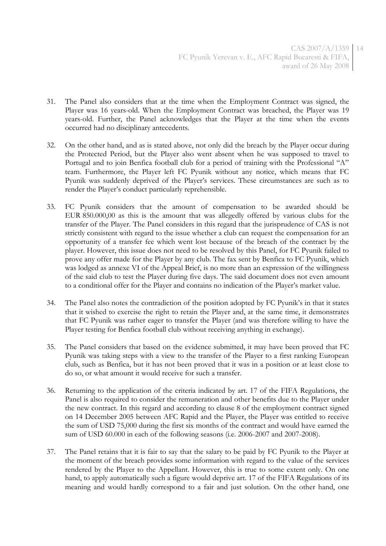- 31. The Panel also considers that at the time when the Employment Contract was signed, the Player was 16 years-old. When the Employment Contract was breached, the Player was 19 years-old. Further, the Panel acknowledges that the Player at the time when the events occurred had no disciplinary antecedents.
- 32. On the other hand, and as is stated above, not only did the breach by the Player occur during the Protected Period, but the Player also went absent when he was supposed to travel to Portugal and to join Benfica football club for a period of training with the Professional "A" team. Furthermore, the Player left FC Pyunik without any notice, which means that FC Pyunik was suddenly deprived of the Player's services. These circumstances are such as to render the Player's conduct particularly reprehensible.
- 33. FC Pyunik considers that the amount of compensation to be awarded should be EUR 850.000,00 as this is the amount that was allegedly offered by various clubs for the transfer of the Player. The Panel considers in this regard that the jurisprudence of CAS is not strictly consistent with regard to the issue whether a club can request the compensation for an opportunity of a transfer fee which went lost because of the breach of the contract by the player. However, this issue does not need to be resolved by this Panel, for FC Pyunik failed to prove any offer made for the Player by any club. The fax sent by Benfica to FC Pyunik, which was lodged as annexe VI of the Appeal Brief, is no more than an expression of the willingness of the said club to test the Player during five days. The said document does not even amount to a conditional offer for the Player and contains no indication of the Player's market value.
- 34. The Panel also notes the contradiction of the position adopted by FC Pyunik's in that it states that it wished to exercise the right to retain the Player and, at the same time, it demonstrates that FC Pyunik was rather eager to transfer the Player (and was therefore willing to have the Player testing for Benfica football club without receiving anything in exchange).
- 35. The Panel considers that based on the evidence submitted, it may have been proved that FC Pyunik was taking steps with a view to the transfer of the Player to a first ranking European club, such as Benfica, but it has not been proved that it was in a position or at least close to do so, or what amount it would receive for such a transfer.
- 36. Returning to the application of the criteria indicated by art. 17 of the FIFA Regulations, the Panel is also required to consider the remuneration and other benefits due to the Player under the new contract. In this regard and according to clause 8 of the employment contract signed on 14 December 2005 between AFC Rapid and the Player, the Player was entitled to receive the sum of USD 75,000 during the first six months of the contract and would have earned the sum of USD 60.000 in each of the following seasons (i.e. 2006-2007 and 2007-2008).
- 37. The Panel retains that it is fair to say that the salary to be paid by FC Pyunik to the Player at the moment of the breach provides some information with regard to the value of the services rendered by the Player to the Appellant. However, this is true to some extent only. On one hand, to apply automatically such a figure would deprive art. 17 of the FIFA Regulations of its meaning and would hardly correspond to a fair and just solution. On the other hand, one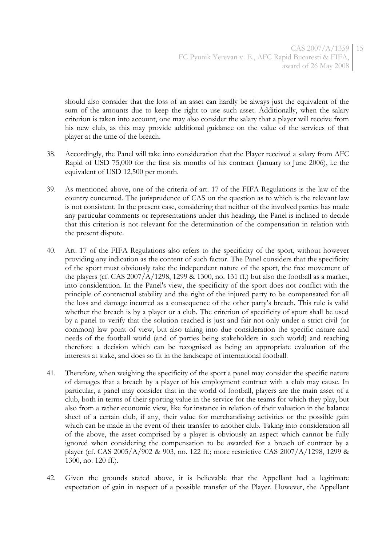should also consider that the loss of an asset can hardly be always just the equivalent of the sum of the amounts due to keep the right to use such asset. Additionally, when the salary criterion is taken into account, one may also consider the salary that a player will receive from his new club, as this may provide additional guidance on the value of the services of that player at the time of the breach.

- 38. Accordingly, the Panel will take into consideration that the Player received a salary from AFC Rapid of USD 75,000 for the first six months of his contract (January to June 2006), i.e the equivalent of USD 12,500 per month.
- 39. As mentioned above, one of the criteria of art. 17 of the FIFA Regulations is the law of the country concerned. The jurisprudence of CAS on the question as to which is the relevant law is not consistent. In the present case, considering that neither of the involved parties has made any particular comments or representations under this heading, the Panel is inclined to decide that this criterion is not relevant for the determination of the compensation in relation with the present dispute.
- 40. Art. 17 of the FIFA Regulations also refers to the specificity of the sport, without however providing any indication as the content of such factor. The Panel considers that the specificity of the sport must obviously take the independent nature of the sport, the free movement of the players (cf. CAS 2007/A/1298, 1299 & 1300, no. 131 ff.) but also the football as a market, into consideration. In the Panel's view, the specificity of the sport does not conflict with the principle of contractual stability and the right of the injured party to be compensated for all the loss and damage incurred as a consequence of the other party's breach. This rule is valid whether the breach is by a player or a club. The criterion of specificity of sport shall be used by a panel to verify that the solution reached is just and fair not only under a strict civil (or common) law point of view, but also taking into due consideration the specific nature and needs of the football world (and of parties being stakeholders in such world) and reaching therefore a decision which can be recognised as being an appropriate evaluation of the interests at stake, and does so fit in the landscape of international football.
- 41. Therefore, when weighing the specificity of the sport a panel may consider the specific nature of damages that a breach by a player of his employment contract with a club may cause. In particular, a panel may consider that in the world of football, players are the main asset of a club, both in terms of their sporting value in the service for the teams for which they play, but also from a rather economic view, like for instance in relation of their valuation in the balance sheet of a certain club, if any, their value for merchandising activities or the possible gain which can be made in the event of their transfer to another club. Taking into consideration all of the above, the asset comprised by a player is obviously an aspect which cannot be fully ignored when considering the compensation to be awarded for a breach of contract by a player (cf. CAS 2005/A/902 & 903, no. 122 ff.; more restrictive CAS 2007/A/1298, 1299 & 1300, no. 120 ff.).
- 42. Given the grounds stated above, it is believable that the Appellant had a legitimate expectation of gain in respect of a possible transfer of the Player. However, the Appellant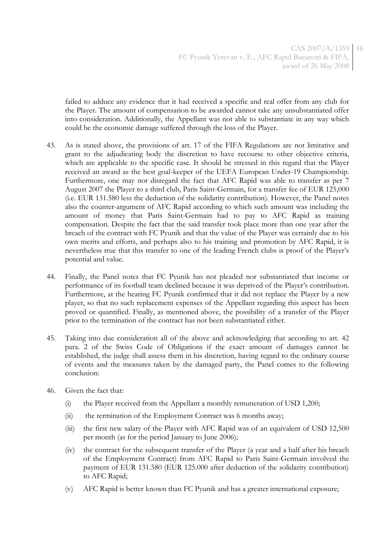failed to adduce any evidence that it had received a specific and real offer from any club for the Player. The amount of compensation to be awarded cannot take any unsubstantiated offer into consideration. Additionally, the Appellant was not able to substantiate in any way which could be the economic damage suffered through the loss of the Player.

- 43. As is stated above, the provisions of art. 17 of the FIFA Regulations are not limitative and grant to the adjudicating body the discretion to have recourse to other objective criteria, which are applicable to the specific case. It should be stressed in this regard that the Player received an award as the best goal-keeper of the UEFA European Under-19 Championship. Furthermore, one may not disregard the fact that AFC Rapid was able to transfer as per 7 August 2007 the Player to a third club, Paris Saint-Germain, for a transfer fee of EUR 125,000 (i.e. EUR 131.580 less the deduction of the solidarity contribution). However, the Panel notes also the counter-argument of AFC Rapid according to which such amount was including the amount of money that Paris Saint-Germain had to pay to AFC Rapid as training compensation. Despite the fact that the said transfer took place more than one year after the breach of the contract with FC Pyunik and that the value of the Player was certainly due to his own merits and efforts, and perhaps also to his training and promotion by AFC Rapid, it is nevertheless true that this transfer to one of the leading French clubs is proof of the Player's potential and value.
- 44. Finally, the Panel notes that FC Pyunik has not pleaded nor substantiated that income or performance of its football team declined because it was deprived of the Player's contribution. Furthermore, at the hearing FC Pyunik confirmed that it did not replace the Player by a new player, so that no such replacement expenses of the Appellant regarding this aspect has been proved or quantified. Finally, as mentioned above, the possibility of a transfer of the Player prior to the termination of the contract has not been substantiated either.
- 45. Taking into due consideration all of the above and acknowledging that according to art. 42 para. 2 of the Swiss Code of Obligations if the exact amount of damages cannot be established, the judge shall assess them in his discretion, having regard to the ordinary course of events and the measures taken by the damaged party, the Panel comes to the following conclusion:
- 46. Given the fact that:
	- (i) the Player received from the Appellant a monthly remuneration of USD 1,200;
	- (ii) the termination of the Employment Contract was 6 months away;
	- (iii) the first new salary of the Player with AFC Rapid was of an equivalent of USD 12,500 per month (as for the period January to June 2006);
	- (iv) the contract for the subsequent transfer of the Player (a year and a half after his breach of the Employment Contract) from AFC Rapid to Paris Saint-Germain involved the payment of EUR 131.580 (EUR 125.000 after deduction of the solidarity contribution) to AFC Rapid;
	- (v) AFC Rapid is better known than FC Pyunik and has a greater international exposure;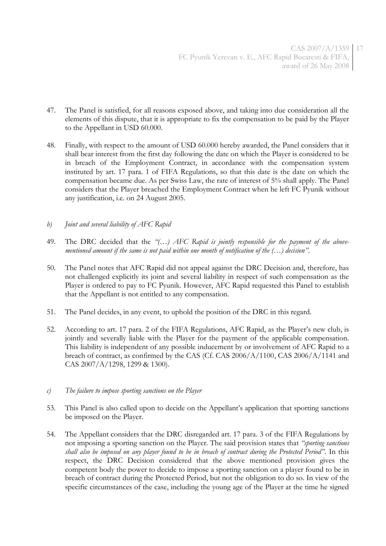- 47. The Panel is satisfied, for all reasons exposed above, and taking into due consideration all the elements of this dispute, that it is appropriate to fix the compensation to be paid by the Player to the Appellant in USD 60.000.
- 48. Finally, with respect to the amount of USD 60.000 hereby awarded, the Panel considers that it shall bear interest from the first day following the date on which the Player is considered to be in breach of the Employment Contract, in accordance with the compensation system instituted by art. 17 para. 1 of FIFA Regulations, so that this date is the date on which the compensation became due. As per Swiss Law, the rate of interest of 5% shall apply. The Panel considers that the Player breached the Employment Contract when he left FC Pyunik without any justification, i.e. on 24 August 2005.
- *b) Joint and several liability of AFC Rapid*
- 49. The DRC decided that the *"(…) AFC Rapid is jointly responsible for the payment of the abovementioned amount if the same is not paid within one month of notification of the (…) decision"*.
- 50. The Panel notes that AFC Rapid did not appeal against the DRC Decision and, therefore, has not challenged explicitly its joint and several liability in respect of such compensation as the Player is ordered to pay to FC Pyunik. However, AFC Rapid requested this Panel to establish that the Appellant is not entitled to any compensation.
- 51. The Panel decides, in any event, to uphold the position of the DRC in this regard.
- 52. According to art. 17 para. 2 of the FIFA Regulations, AFC Rapid, as the Player's new club, is jointly and severally liable with the Player for the payment of the applicable compensation. This liability is independent of any possible inducement by or involvement of AFC Rapid to a breach of contract, as confirmed by the CAS (Cf. CAS 2006/A/1100, CAS 2006/A/1141 and CAS 2007/A/1298, 1299 & 1300).
- *c) The failure to impose sporting sanctions on the Player*
- 53. This Panel is also called upon to decide on the Appellant's application that sporting sanctions be imposed on the Player.
- 54. The Appellant considers that the DRC disregarded art. 17 para. 3 of the FIFA Regulations by not imposing a sporting sanction on the Player. The said provision states that *"sporting sanctions shall also be imposed on any player found to be in breach of contract during the Protected Period"*. In this respect, the DRC Decision considered that the above mentioned provision gives the competent body the power to decide to impose a sporting sanction on a player found to be in breach of contract during the Protected Period, but not the obligation to do so. In view of the specific circumstances of the case, including the young age of the Player at the time he signed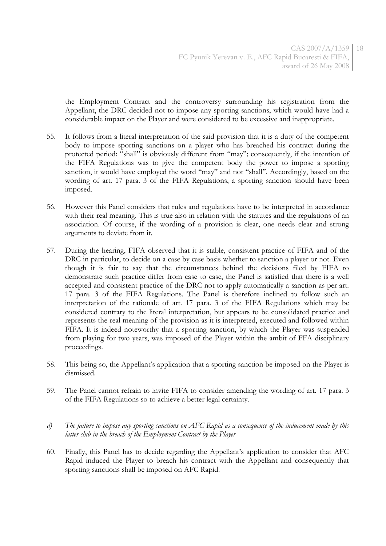the Employment Contract and the controversy surrounding his registration from the Appellant, the DRC decided not to impose any sporting sanctions, which would have had a considerable impact on the Player and were considered to be excessive and inappropriate.

- 55. It follows from a literal interpretation of the said provision that it is a duty of the competent body to impose sporting sanctions on a player who has breached his contract during the protected period: "shall" is obviously different from "may"; consequently, if the intention of the FIFA Regulations was to give the competent body the power to impose a sporting sanction, it would have employed the word "may" and not "shall". Accordingly, based on the wording of art. 17 para. 3 of the FIFA Regulations, a sporting sanction should have been imposed.
- 56. However this Panel considers that rules and regulations have to be interpreted in accordance with their real meaning. This is true also in relation with the statutes and the regulations of an association. Of course, if the wording of a provision is clear, one needs clear and strong arguments to deviate from it.
- 57. During the hearing, FIFA observed that it is stable, consistent practice of FIFA and of the DRC in particular, to decide on a case by case basis whether to sanction a player or not. Even though it is fair to say that the circumstances behind the decisions filed by FIFA to demonstrate such practice differ from case to case, the Panel is satisfied that there is a well accepted and consistent practice of the DRC not to apply automatically a sanction as per art. 17 para. 3 of the FIFA Regulations. The Panel is therefore inclined to follow such an interpretation of the rationale of art. 17 para. 3 of the FIFA Regulations which may be considered contrary to the literal interpretation, but appears to be consolidated practice and represents the real meaning of the provision as it is interpreted, executed and followed within FIFA. It is indeed noteworthy that a sporting sanction, by which the Player was suspended from playing for two years, was imposed of the Player within the ambit of FFA disciplinary proceedings.
- 58. This being so, the Appellant's application that a sporting sanction be imposed on the Player is dismissed.
- 59. The Panel cannot refrain to invite FIFA to consider amending the wording of art. 17 para. 3 of the FIFA Regulations so to achieve a better legal certainty.
- *d) The failure to impose any sporting sanctions on AFC Rapid as a consequence of the inducement made by this latter club in the breach of the Employment Contract by the Player*
- 60. Finally, this Panel has to decide regarding the Appellant's application to consider that AFC Rapid induced the Player to breach his contract with the Appellant and consequently that sporting sanctions shall be imposed on AFC Rapid.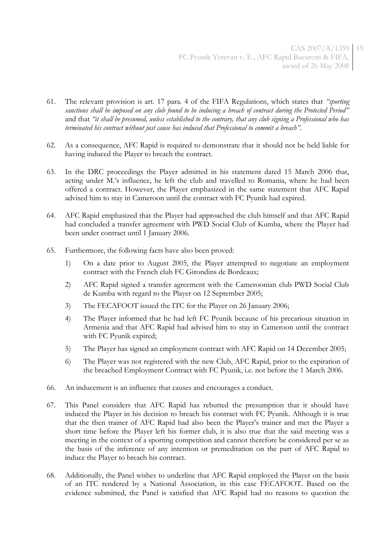- 61. The relevant provision is art. 17 para. 4 of the FIFA Regulations, which states that *"sporting sanctions shall be imposed on any club found to be inducing a breach of contract during the Protected Period"* and that *"it shall be presumed, unless established to the contrary, that any club signing a Professional who has terminated his contract without just cause has induced that Professional to commit a breach"*.
- 62. As a consequence, AFC Rapid is required to demonstrate that it should not be held liable for having induced the Player to breach the contract.
- 63. In the DRC proceedings the Player admitted in his statement dated 15 March 2006 that, acting under M.'s influence, he left the club and travelled to Romania, where he had been offered a contract. However, the Player emphasized in the same statement that AFC Rapid advised him to stay in Cameroon until the contract with FC Pyunik had expired.
- 64. AFC Rapid emphasized that the Player had approached the club himself and that AFC Rapid had concluded a transfer agreement with PWD Social Club of Kumba, where the Player had been under contract until 1 January 2006.
- 65. Furthermore, the following facts have also been proved:
	- 1) On a date prior to August 2005, the Player attempted to negotiate an employment contract with the French club FC Girondins de Bordeaux;
	- 2) AFC Rapid signed a transfer agreement with the Cameroonian club PWD Social Club de Kumba with regard to the Player on 12 September 2005;
	- 3) The FECAFOOT issued the ITC for the Player on 26 January 2006;
	- 4) The Player informed that he had left FC Pyunik because of his precarious situation in Armenia and that AFC Rapid had advised him to stay in Cameroon until the contract with FC Pyunik expired;
	- 5) The Player has signed an employment contract with AFC Rapid on 14 December 2005;
	- 6) The Player was not registered with the new Club, AFC Rapid, prior to the expiration of the breached Employment Contract with FC Pyunik, i.e. not before the 1 March 2006.
- 66. An inducement is an influence that causes and encourages a conduct.
- 67. This Panel considers that AFC Rapid has rebutted the presumption that it should have induced the Player in his decision to breach his contract with FC Pyunik. Although it is true that the then trainer of AFC Rapid had also been the Player's trainer and met the Player a short time before the Player left his former club, it is also true that the said meeting was a meeting in the context of a sporting competition and cannot therefore be considered per se as the basis of the inference of any intention or premeditation on the part of AFC Rapid to induce the Player to breach his contract.
- 68. Additionally, the Panel wishes to underline that AFC Rapid employed the Player on the basis of an ITC rendered by a National Association, in this case FECAFOOT. Based on the evidence submitted, the Panel is satisfied that AFC Rapid had no reasons to question the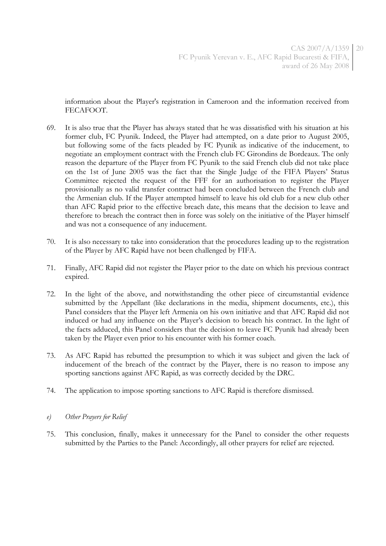information about the Player's registration in Cameroon and the information received from FECAFOOT.

- 69. It is also true that the Player has always stated that he was dissatisfied with his situation at his former club, FC Pyunik. Indeed, the Player had attempted, on a date prior to August 2005, but following some of the facts pleaded by FC Pyunik as indicative of the inducement, to negotiate an employment contract with the French club FC Girondins de Bordeaux. The only reason the departure of the Player from FC Pyunik to the said French club did not take place on the 1st of June 2005 was the fact that the Single Judge of the FIFA Players' Status Committee rejected the request of the FFF for an authorisation to register the Player provisionally as no valid transfer contract had been concluded between the French club and the Armenian club. If the Player attempted himself to leave his old club for a new club other than AFC Rapid prior to the effective breach date, this means that the decision to leave and therefore to breach the contract then in force was solely on the initiative of the Player himself and was not a consequence of any inducement.
- 70. It is also necessary to take into consideration that the procedures leading up to the registration of the Player by AFC Rapid have not been challenged by FIFA.
- 71. Finally, AFC Rapid did not register the Player prior to the date on which his previous contract expired.
- 72. In the light of the above, and notwithstanding the other piece of circumstantial evidence submitted by the Appellant (like declarations in the media, shipment documents, etc.), this Panel considers that the Player left Armenia on his own initiative and that AFC Rapid did not induced or had any influence on the Player's decision to breach his contract. In the light of the facts adduced, this Panel considers that the decision to leave FC Pyunik had already been taken by the Player even prior to his encounter with his former coach.
- 73. As AFC Rapid has rebutted the presumption to which it was subject and given the lack of inducement of the breach of the contract by the Player, there is no reason to impose any sporting sanctions against AFC Rapid, as was correctly decided by the DRC.
- 74. The application to impose sporting sanctions to AFC Rapid is therefore dismissed.

#### *e) Other Prayers for Relief*

75. This conclusion, finally, makes it unnecessary for the Panel to consider the other requests submitted by the Parties to the Panel: Accordingly, all other prayers for relief are rejected.